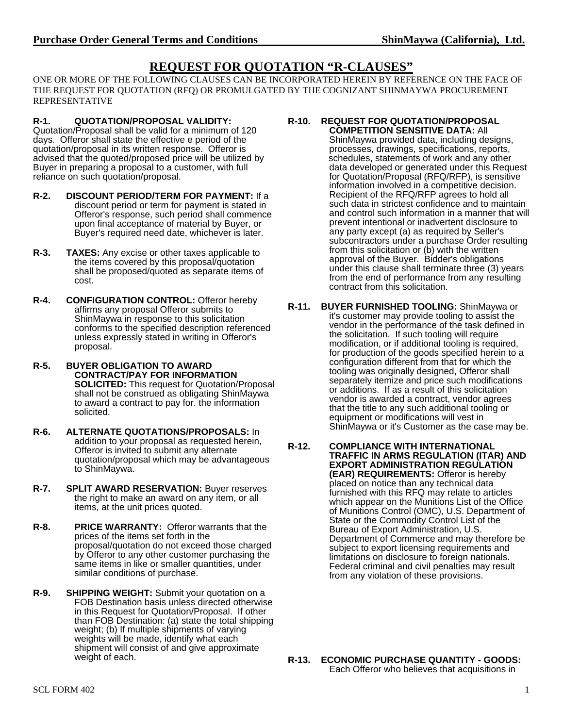## **REQUEST FOR QUOTATION "R-CLAUSES"**

ONE OR MORE OF THE FOLLOWING CLAUSES CAN BE INCORPORATED HEREIN BY REFERENCE ON THE FACE OF THE REQUEST FOR QUOTATION (RFQ) OR PROMULGATED BY THE COGNIZANT SHINMAYWA PROCUREMENT REPRESENTATIVE

## **R-1. QUOTATION/PROPOSAL VALIDITY:**

Quotation/Proposal shall be valid for a minimum of 120 days. Offeror shall state the effective e period of the quotation/proposal in its written response. Offeror is advised that the quoted/proposed price will be utilized by Buyer in preparing a proposal to a customer, with full reliance on such quotation/proposal.

- **R-2. DISCOUNT PERIOD/TERM FOR PAYMENT:** If a discount period or term for payment is stated in Offeror's response, such period shall commence upon final acceptance of material by Buyer, or Buyer's required need date, whichever is later.
- **R-3. TAXES:** Any excise or other taxes applicable to the items covered by this proposal/quotation shall be proposed/quoted as separate items of cost.
- **R-4. CONFIGURATION CONTROL:** Offeror hereby affirms any proposal Offeror submits to ShinMaywa in response to this solicitation conforms to the specified description referenced unless expressly stated in writing in Offeror's proposal.
- **R-5. BUYER OBLIGATION TO AWARD CONTRACT/PAY FOR INFORMATION SOLICITED:** This request for Quotation/Proposal shall not be construed as obligating ShinMaywa to award a contract to pay for. the information solicited.
- **R-6. ALTERNATE QUOTATIONS/PROPOSALS:** In addition to your proposal as requested herein, Offeror is invited to submit any alternate quotation/proposal which may be advantageous to ShinMaywa.
- **R-7. SPLIT AWARD RESERVATION:** Buyer reserves the right to make an award on any item, or all items, at the unit prices quoted.
- **R-8. PRICE WARRANTY:** Offeror warrants that the prices of the items set forth in the proposal/quotation do not exceed those charged by Offeror to any other customer purchasing the same items in like or smaller quantities, under similar conditions of purchase.
- **R-9. SHIPPING WEIGHT:** Submit your quotation on a FOB Destination basis unless directed otherwise in this Request for Quotation/Proposal. If other than FOB Destination: (a) state the total shipping weight; (b) If multiple shipments of varying weights will be made, identify what each shipment will consist of and give approximate weight of each.

## **R-10. REQUEST FOR QUOTATION/PROPOSAL COMPETITION SENSITIVE DATA:** All

ShinMaywa provided data, including designs, processes, drawings, specifications, reports, schedules, statements of work and any other data developed or generated under this Request for Quotation/Proposal (RFQ/RFP), is sensitive information involved in a competitive decision. Recipient of the RFQ/RFP agrees to hold all such data in strictest confidence and to maintain and control such information in a manner that will prevent intentional or inadvertent disclosure to any party except (a) as required by Seller's subcontractors under a purchase Order resulting from this solicitation or (b) with the written approval of the Buyer. Bidder's obligations under this clause shall terminate three (3) years from the end of performance from any resulting contract from this solicitation.

- **R-11. BUYER FURNISHED TOOLING:** ShinMaywa or it's customer may provide tooling to assist the vendor in the performance of the task defined in the solicitation. If such tooling will require modification, or if additional tooling is required, for production of the goods specified herein to a configuration different from that for which the tooling was originally designed, Offeror shall separately itemize and price such modifications or additions. If as a result of this solicitation vendor is awarded a contract, vendor agrees that the title to any such additional tooling or equipment or modifications will vest in ShinMaywa or it's Customer as the case may be.
- **R-12. COMPLIANCE WITH INTERNATIONAL TRAFFIC IN ARMS REGULATION (ITAR) AND EXPORT ADMINISTRATION REGULATION (EAR) REQUIREMENTS:** Offeror is hereby placed on notice than any technical data furnished with this RFQ may relate to articles which appear on the Munitions List of the Office of Munitions Control (OMC), U.S. Department of State or the Commodity Control List of the Bureau of Export Administration, U.S. Department of Commerce and may therefore be subject to export licensing requirements and limitations on disclosure to foreign nationals. Federal criminal and civil penalties may result from any violation of these provisions.

**R-13. ECONOMIC PURCHASE QUANTITY - GOODS:** Each Offeror who believes that acquisitions in